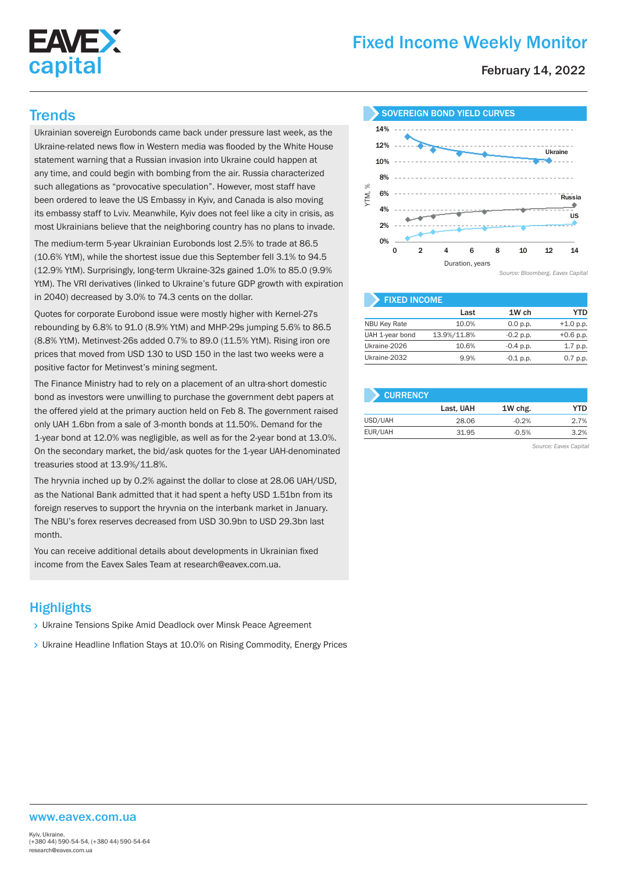

# Fixed Income Weekly Monitor

February 14, 2022

Ukrainian sovereign Eurobonds came back under pressure last week, as the Ukraine-related news flow in Western media was flooded by the White House statement warning that a Russian invasion into Ukraine could happen at any time, and could begin with bombing from the air. Russia characterized such allegations as "provocative speculation". However, most staff have been ordered to leave the US Embassy in Kyiv, and Canada is also moving its embassy staff to Lviv. Meanwhile, Kyiv does not feel like a city in crisis, as most Ukrainians believe that the neighboring country has no plans to invade.

The medium-term 5-year Ukrainian Eurobonds lost 2.5% to trade at 86.5 (10.6% YtM), while the shortest issue due this September fell 3.1% to 94.5 (12.9% YtM). Surprisingly, long-term Ukraine-32s gained 1.0% to 85.0 (9.9% YtM). The VRI derivatives (linked to Ukraine's future GDP growth with expiration in 2040) decreased by 3.0% to 74.3 cents on the dollar.

Quotes for corporate Eurobond issue were mostly higher with Kernel-27s rebounding by 6.8% to 91.0 (8.9% YtM) and MHP-29s jumping 5.6% to 86.5 (8.8% YtM). Metinvest-26s added 0.7% to 89.0 (11.5% YtM). Rising iron ore prices that moved from USD 130 to USD 150 in the last two weeks were a positive factor for Metinvest's mining segment.

The Finance Ministry had to rely on a placement of an ultra-short domestic bond as investors were unwilling to purchase the government debt papers at the offered yield at the primary auction held on Feb 8. The government raised only UAH 1.6bn from a sale of 3-month bonds at 11.50%. Demand for the 1-year bond at 12.0% was negligible, as well as for the 2-year bond at 13.0%. On the secondary market, the bid/ask quotes for the 1-year UAH-denominated treasuries stood at 13.9%/11.8%.

The hryvnia inched up by 0.2% against the dollar to close at 28.06 UAH/USD, as the National Bank admitted that it had spent a hefty USD 1.51bn from its foreign reserves to support the hryvnia on the interbank market in January. The NBU's forex reserves decreased from USD 30.9bn to USD 29.3bn last month.

You can receive additional details about developments in Ukrainian fixed income from the Eavex Sales Team at research@eavex.com.ua.

# **Highlights**

- Ukraine Tensions Spike Amid Deadlock over Minsk Peace Agreement
- Ukraine Headline Inflation Stays at 10.0% on Rising Commodity, Energy Prices



| <b>FIXED INCOME</b> |             |             |             |  |  |  |  |
|---------------------|-------------|-------------|-------------|--|--|--|--|
|                     | Last        | 1W ch       | YTD         |  |  |  |  |
| <b>NBU Key Rate</b> | 10.0%       | 0.0 p.p.    | $+1.0 p.p.$ |  |  |  |  |
| UAH 1-year bond     | 13.9%/11.8% | $-0.2$ p.p. | $+0.6$ p.p. |  |  |  |  |
| Ukraine-2026        | 10.6%       | $-0.4$ p.p. | 1.7 p.p.    |  |  |  |  |
| Ukraine-2032        | 9.9%        | $-0.1$ p.p. | 0.7 p.p.    |  |  |  |  |

| <b>CURRENCY</b> |           |         |      |
|-----------------|-----------|---------|------|
|                 | Last, UAH | 1W chg. | YTD  |
| USD/UAH         | 28.06     | $-0.2%$ | 2.7% |
| EUR/UAH         | 31.95     | $-0.5%$ | 3.2% |

*Source: Eavex Capital*

#### www.eavex.com.ua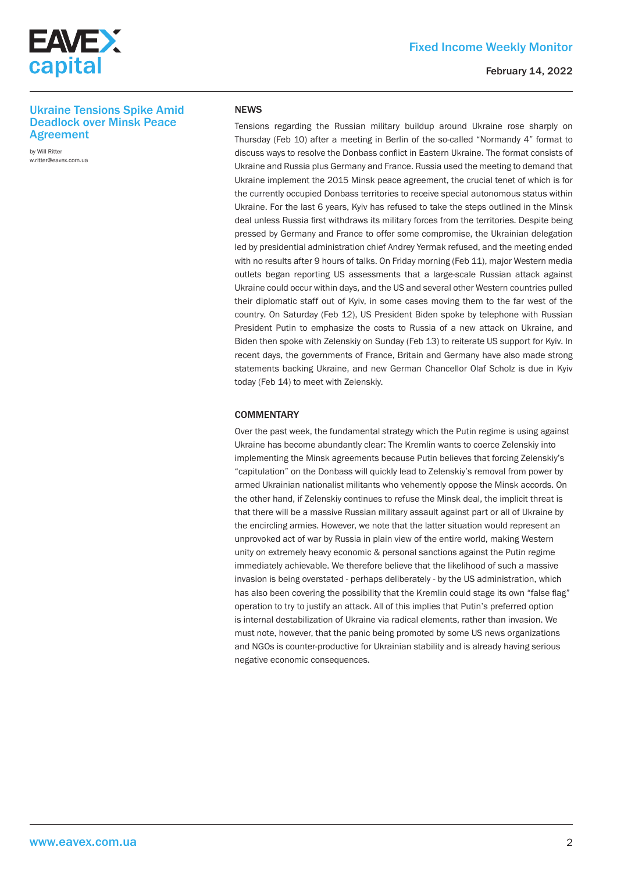

#### February 14, 2022

## Ukraine Tensions Spike Amid Deadlock over Minsk Peace Agreement

by Will Ritter w.ritter@eavex.com.ua

#### **NEWS**

Tensions regarding the Russian military buildup around Ukraine rose sharply on Thursday (Feb 10) after a meeting in Berlin of the so-called "Normandy 4" format to discuss ways to resolve the Donbass conflict in Eastern Ukraine. The format consists of Ukraine and Russia plus Germany and France. Russia used the meeting to demand that Ukraine implement the 2015 Minsk peace agreement, the crucial tenet of which is for the currently occupied Donbass territories to receive special autonomous status within Ukraine. For the last 6 years, Kyiv has refused to take the steps outlined in the Minsk deal unless Russia first withdraws its military forces from the territories. Despite being pressed by Germany and France to offer some compromise, the Ukrainian delegation led by presidential administration chief Andrey Yermak refused, and the meeting ended with no results after 9 hours of talks. On Friday morning (Feb 11), major Western media outlets began reporting US assessments that a large-scale Russian attack against Ukraine could occur within days, and the US and several other Western countries pulled their diplomatic staff out of Kyiv, in some cases moving them to the far west of the country. On Saturday (Feb 12), US President Biden spoke by telephone with Russian President Putin to emphasize the costs to Russia of a new attack on Ukraine, and Biden then spoke with Zelenskiy on Sunday (Feb 13) to reiterate US support for Kyiv. In recent days, the governments of France, Britain and Germany have also made strong statements backing Ukraine, and new German Chancellor Olaf Scholz is due in Kyiv today (Feb 14) to meet with Zelenskiy.

## **COMMENTARY**

Over the past week, the fundamental strategy which the Putin regime is using against Ukraine has become abundantly clear: The Kremlin wants to coerce Zelenskiy into implementing the Minsk agreements because Putin believes that forcing Zelenskiy's "capitulation" on the Donbass will quickly lead to Zelenskiy's removal from power by armed Ukrainian nationalist militants who vehemently oppose the Minsk accords. On the other hand, if Zelenskiy continues to refuse the Minsk deal, the implicit threat is that there will be a massive Russian military assault against part or all of Ukraine by the encircling armies. However, we note that the latter situation would represent an unprovoked act of war by Russia in plain view of the entire world, making Western unity on extremely heavy economic & personal sanctions against the Putin regime immediately achievable. We therefore believe that the likelihood of such a massive invasion is being overstated - perhaps deliberately - by the US administration, which has also been covering the possibility that the Kremlin could stage its own "false flag" operation to try to justify an attack. All of this implies that Putin's preferred option is internal destabilization of Ukraine via radical elements, rather than invasion. We must note, however, that the panic being promoted by some US news organizations and NGOs is counter-productive for Ukrainian stability and is already having serious negative economic consequences.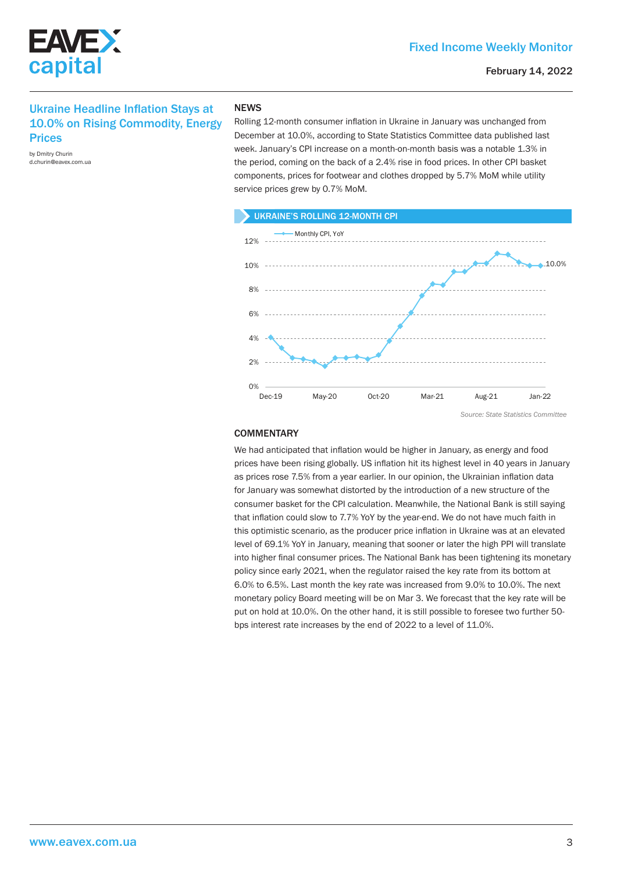



## Ukraine Headline Inflation Stays at 10.0% on Rising Commodity, Energy **Prices**

by Dmitry Churin d.churin@eavex.com.ua

## **NEWS**

Rolling 12-month consumer inflation in Ukraine in January was unchanged from December at 10.0%, according to State Statistics Committee data published last week. January's CPI increase on a month-on-month basis was a notable 1.3% in the period, coming on the back of a 2.4% rise in food prices. In other CPI basket components, prices for footwear and clothes dropped by 5.7% MoM while utility service prices grew by 0.7% MoM.



*Source: State Statistics Committee*

## **COMMENTARY**

We had anticipated that inflation would be higher in January, as energy and food prices have been rising globally. US inflation hit its highest level in 40 years in January as prices rose 7.5% from a year earlier. In our opinion, the Ukrainian inflation data for January was somewhat distorted by the introduction of a new structure of the consumer basket for the CPI calculation. Meanwhile, the National Bank is still saying that inflation could slow to 7.7% YoY by the year-end. We do not have much faith in this optimistic scenario, as the producer price inflation in Ukraine was at an elevated level of 69.1% YoY in January, meaning that sooner or later the high PPI will translate into higher final consumer prices. The National Bank has been tightening its monetary policy since early 2021, when the regulator raised the key rate from its bottom at 6.0% to 6.5%. Last month the key rate was increased from 9.0% to 10.0%. The next monetary policy Board meeting will be on Mar 3. We forecast that the key rate will be put on hold at 10.0%. On the other hand, it is still possible to foresee two further 50 bps interest rate increases by the end of 2022 to a level of 11.0%.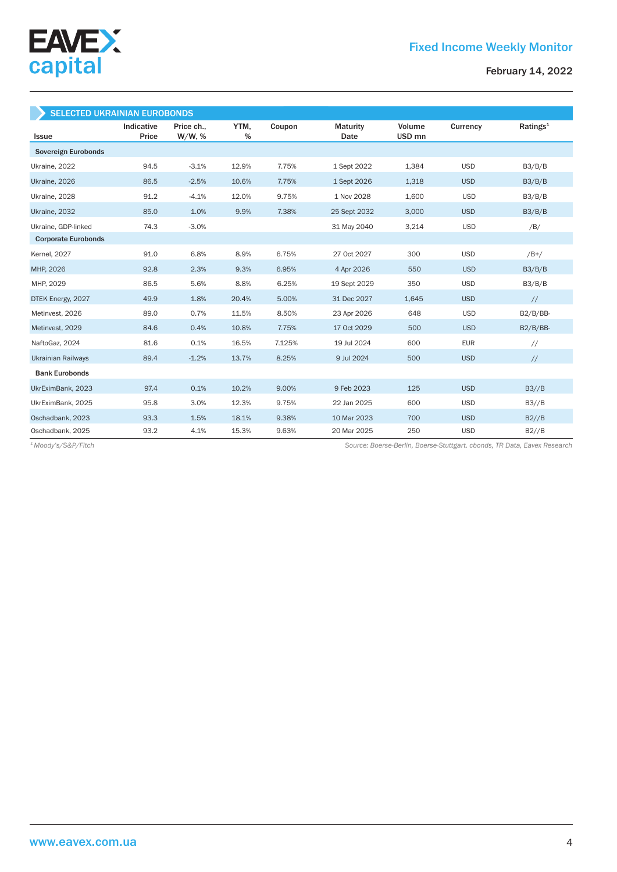

February 14, 2022

| <b>SELECTED UKRAINIAN EUROBONDS</b> |                     |                         |           |        |                         |                             |            |                      |
|-------------------------------------|---------------------|-------------------------|-----------|--------|-------------------------|-----------------------------|------------|----------------------|
| <b>Issue</b>                        | Indicative<br>Price | Price ch.,<br>$W/W$ , % | YTM,<br>% | Coupon | <b>Maturity</b><br>Date | Volume<br>USD <sub>mn</sub> | Currency   | Ratings <sup>1</sup> |
| Sovereign Eurobonds                 |                     |                         |           |        |                         |                             |            |                      |
| Ukraine, 2022                       | 94.5                | $-3.1%$                 | 12.9%     | 7.75%  | 1 Sept 2022             | 1,384                       | <b>USD</b> | B3/B/B               |
| Ukraine, 2026                       | 86.5                | $-2.5%$                 | 10.6%     | 7.75%  | 1 Sept 2026             | 1,318                       | <b>USD</b> | B3/B/B               |
| Ukraine, 2028                       | 91.2                | $-4.1%$                 | 12.0%     | 9.75%  | 1 Nov 2028              | 1,600                       | <b>USD</b> | B3/B/B               |
| Ukraine, 2032                       | 85.0                | 1.0%                    | 9.9%      | 7.38%  | 25 Sept 2032            | 3,000                       | <b>USD</b> | B3/B/B               |
| Ukraine, GDP-linked                 | 74.3                | $-3.0%$                 |           |        | 31 May 2040             | 3,214                       | <b>USD</b> | /B/                  |
| <b>Corporate Eurobonds</b>          |                     |                         |           |        |                         |                             |            |                      |
| <b>Kernel</b> , 2027                | 91.0                | 6.8%                    | 8.9%      | 6.75%  | 27 Oct 2027             | 300                         | <b>USD</b> | $/B+/$               |
| MHP, 2026                           | 92.8                | 2.3%                    | 9.3%      | 6.95%  | 4 Apr 2026              | 550                         | <b>USD</b> | B3/B/B               |
| MHP, 2029                           | 86.5                | 5.6%                    | 8.8%      | 6.25%  | 19 Sept 2029            | 350                         | <b>USD</b> | B3/B/B               |
| DTEK Energy, 2027                   | 49.9                | 1.8%                    | 20.4%     | 5.00%  | 31 Dec 2027             | 1.645                       | <b>USD</b> | $\frac{1}{2}$        |
| Metinvest, 2026                     | 89.0                | 0.7%                    | 11.5%     | 8.50%  | 23 Apr 2026             | 648                         | <b>USD</b> | $B2/B/BB-$           |
| Metinvest, 2029                     | 84.6                | 0.4%                    | 10.8%     | 7.75%  | 17 Oct 2029             | 500                         | <b>USD</b> | $B2/B/BB-$           |
| NaftoGaz, 2024                      | 81.6                | 0.1%                    | 16.5%     | 7.125% | 19 Jul 2024             | 600                         | <b>EUR</b> | $\frac{1}{2}$        |
| <b>Ukrainian Railways</b>           | 89.4                | $-1.2%$                 | 13.7%     | 8.25%  | 9 Jul 2024              | 500                         | <b>USD</b> | $\frac{1}{2}$        |
| <b>Bank Eurobonds</b>               |                     |                         |           |        |                         |                             |            |                      |
| UkrEximBank, 2023                   | 97.4                | 0.1%                    | 10.2%     | 9.00%  | 9 Feb 2023              | 125                         | <b>USD</b> | B3//B                |
| UkrEximBank, 2025                   | 95.8                | 3.0%                    | 12.3%     | 9.75%  | 22 Jan 2025             | 600                         | <b>USD</b> | B3//B                |
| Oschadbank, 2023                    | 93.3                | 1.5%                    | 18.1%     | 9.38%  | 10 Mar 2023             | 700                         | <b>USD</b> | B2//B                |
| Oschadbank, 2025                    | 93.2                | 4.1%                    | 15.3%     | 9.63%  | 20 Mar 2025             | 250                         | <b>USD</b> | B2//B                |

*Source: Boerse-Berlin, Boerse-Stuttgart. cbonds, TR Data, Eavex Research 1 Moody's/S&P/Fitch*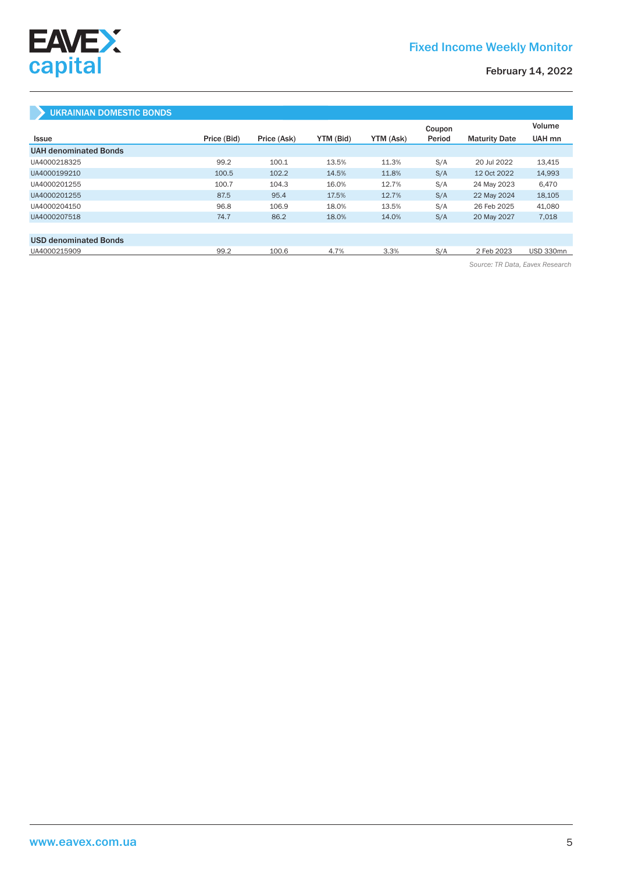

# Fixed Income Weekly Monitor

## February 14, 2022

## UKRAINIAN DOMESTIC BONDS

|                              |             |             |           |           | Coupon |                      | Volume    |
|------------------------------|-------------|-------------|-----------|-----------|--------|----------------------|-----------|
| Issue                        | Price (Bid) | Price (Ask) | YTM (Bid) | YTM (Ask) | Period | <b>Maturity Date</b> | UAH mn    |
| <b>UAH denominated Bonds</b> |             |             |           |           |        |                      |           |
| UA4000218325                 | 99.2        | 100.1       | 13.5%     | 11.3%     | S/A    | 20 Jul 2022          | 13,415    |
| UA4000199210                 | 100.5       | 102.2       | 14.5%     | 11.8%     | S/A    | 12 Oct 2022          | 14,993    |
| UA4000201255                 | 100.7       | 104.3       | 16.0%     | 12.7%     | S/A    | 24 May 2023          | 6,470     |
| UA4000201255                 | 87.5        | 95.4        | 17.5%     | 12.7%     | S/A    | 22 May 2024          | 18,105    |
| UA4000204150                 | 96.8        | 106.9       | 18.0%     | 13.5%     | S/A    | 26 Feb 2025          | 41,080    |
| UA4000207518                 | 74.7        | 86.2        | 18.0%     | 14.0%     | S/A    | 20 May 2027          | 7,018     |
|                              |             |             |           |           |        |                      |           |
| <b>USD denominated Bonds</b> |             |             |           |           |        |                      |           |
| UA4000215909                 | 99.2        | 100.6       | 4.7%      | 3.3%      | S/A    | 2 Feb 2023           | USD 330mn |

*Source: TR Data, Eavex Research*